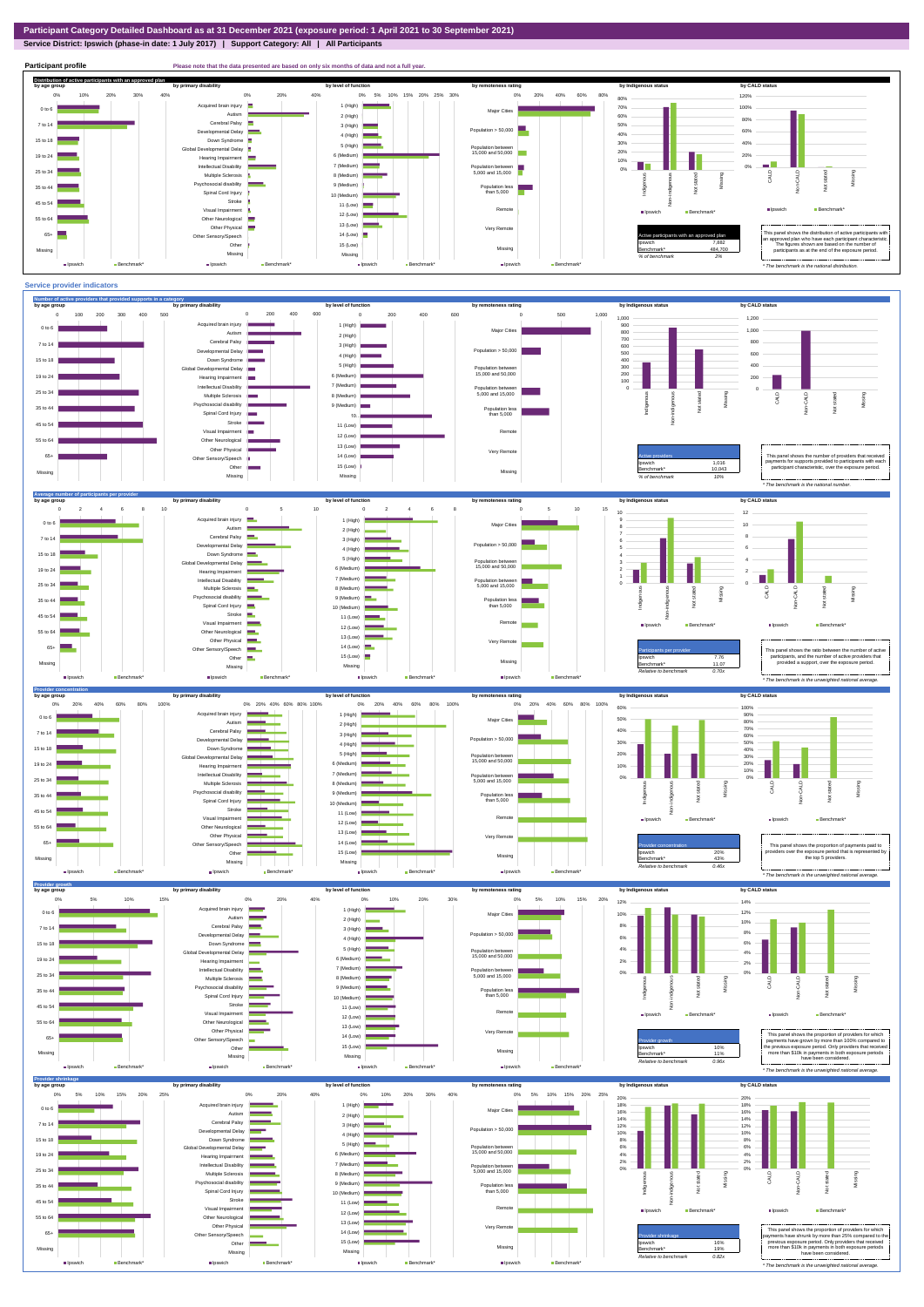**Service District: Ipswich (phase-in date: 1 July 2017) | Support Category: All | All Participants**



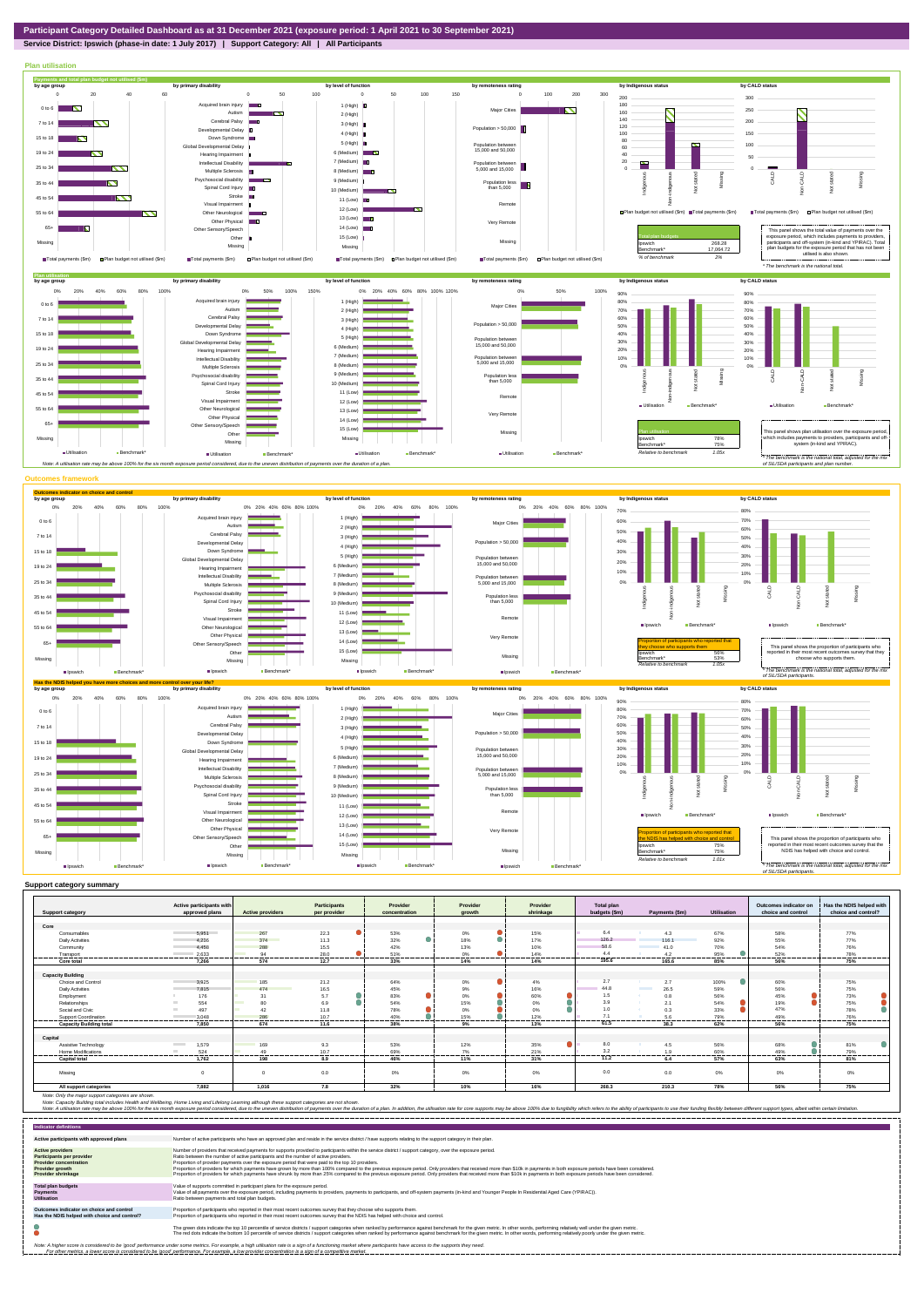## **Service District: Ipswich (phase-in date: 1 July 2017) | Support Category: All | All Participants**



| <b>Support category</b>        | Active participants with<br>approved plans | <b>Active providers</b> | <b>Participants</b><br>per provider | Provider<br>concentration | Provider<br>arowth | Provider<br>shrinkage | <b>Total plan</b><br>budgets (\$m) | Payments (\$m)                   | <b>Utilisation</b> | Outcomes indicator on<br>choice and control | Has the NDIS helped with<br>choice and control? |
|--------------------------------|--------------------------------------------|-------------------------|-------------------------------------|---------------------------|--------------------|-----------------------|------------------------------------|----------------------------------|--------------------|---------------------------------------------|-------------------------------------------------|
|                                |                                            |                         |                                     |                           |                    |                       |                                    |                                  |                    |                                             |                                                 |
| Core                           |                                            |                         |                                     |                           |                    |                       |                                    |                                  |                    |                                             |                                                 |
| Consumables                    | 5.951                                      | 267                     | 22.3                                | 53%                       | 0%                 | 15%                   | 6.4                                | 4.3                              | 67%                | 58%                                         | 77%                                             |
| <b>Daily Activities</b>        | 4.236                                      | 374                     | 11.3                                | 32%                       | 18%                | 17%                   | 126.2                              | 116.1                            | 92%                | 55%                                         | 77%                                             |
| Community                      | 4.458                                      | 288                     | 15.5                                | 42%                       | 13%                | 10%                   | 58.6                               | 41.0                             | 70%                | 54%                                         | 76%                                             |
| Transport                      | 2.633<br>-------------                     | 94<br>.                 | 28.0                                | 51%<br>-------            | 0%<br>-------      | 14%<br>-------        | 4.4                                | 4.2<br>--------                  | 95%                | 52%<br>-------                              | 78%<br>-------                                  |
| Core total                     | 7.266                                      | 574                     | 12.7                                | 33%                       | 14%                | 14%                   | .<br>195.6                         | 165.6                            | 85%                | 56%                                         | 75%                                             |
|                                |                                            |                         |                                     |                           |                    |                       |                                    |                                  |                    |                                             |                                                 |
| <b>Capacity Building</b>       |                                            |                         |                                     |                           |                    |                       |                                    |                                  |                    |                                             |                                                 |
| Choice and Control             | 3,925                                      | 185                     | 21.2                                | 64%                       | $0\%$              | 4%                    | 2.7                                | 2.7                              | 100%               | 60%                                         | 75%                                             |
| <b>Daily Activities</b>        | 7.815                                      | 474                     | 16.5                                | 45%                       | 9%                 | 16%                   | 44.8                               | 26.5<br><b>Contract Contract</b> | 59%                | 56%                                         | 75%                                             |
| Employment                     | 176                                        | 31                      | 5.7                                 | 83%                       | 0%                 | 60%                   | 1.5                                | 0.8                              | 56%                | 45%                                         | 73%                                             |
| Relationships                  | 554                                        | 80                      | 6.9                                 | 54%                       | 15%                | $0\%$                 | 3.9                                | 2.1                              | 54%                | 19%                                         | 75%                                             |
| Social and Civic               | 497                                        | 42                      | 11.8                                | 78%                       | 0%                 | 0%                    | 1.0                                | 0.3                              | 33%                | 47%                                         | 78%                                             |
| Support Coordination           | 3.048<br>----------                        | 286<br>-------          | 10.7<br>-------                     | 40%                       | 15%                | 12%<br>.              | 7.1                                | 5.6                              | 79%                | 49%<br>--------                             | 76%<br>-------                                  |
| <b>Capacity Building total</b> | 7,850                                      | 674                     | 11.6                                | 38%                       | <br>9%             | 13%                   | 61.5                               | -------<br>38.3                  | ------<br>62%      | 56%                                         | 75%                                             |
|                                |                                            |                         |                                     |                           |                    |                       |                                    |                                  |                    |                                             |                                                 |
| Capital                        |                                            |                         |                                     |                           |                    |                       |                                    |                                  |                    |                                             |                                                 |
| Assistive Technology           | 1.579<br><b>Contract Contract</b>          | 169                     | 9.3                                 | 53%                       | 12%                | 35%                   | 8.0                                | 4.5                              | 56%                | 68%                                         | 81%                                             |
| Home Modifications             | 524                                        | 49                      | 10.7                                | 69%                       | 7%                 | 21%                   | 3.2                                | 1.9                              | 60%                | 49%                                         | 79%                                             |
| <b>Capital total</b>           | 1.762                                      | 198                     | 8.9                                 | 46%                       | 11%                | 31%                   | 11.2                               | 6.4                              | 57%                | 63%                                         | 81%                                             |
| Missing                        |                                            | $\Omega$                | 0.0                                 | 0%                        | $0\%$              | 0%                    | 0.0                                | 0.0                              | $0\%$              | 0%                                          | $0\%$                                           |
| All support categories         | 7,882                                      | 1,016                   | 7.8                                 | 32%                       | 10%                | 16%                   | 268.3                              | 210.3                            | 78%                | 56%                                         | 75%                                             |

Note: Only the major support categories are shown.<br>Note: Capacity Building total individual Wellbeing, Home Living and Lifelong Learning although these support categories are not shown.<br>Note: A utilisation rate may be abov

| <b>Indicator definitions</b>                                                                                                                        |                                                                                                                                                                                                                                                                                                                                                                                                                                                                                                                                                                                                                                                                                                                                                                                                                 |
|-----------------------------------------------------------------------------------------------------------------------------------------------------|-----------------------------------------------------------------------------------------------------------------------------------------------------------------------------------------------------------------------------------------------------------------------------------------------------------------------------------------------------------------------------------------------------------------------------------------------------------------------------------------------------------------------------------------------------------------------------------------------------------------------------------------------------------------------------------------------------------------------------------------------------------------------------------------------------------------|
| Active participants with approved plans                                                                                                             | Number of active participants who have an approved plan and reside in the service district / have supports relating to the support category in their plan.                                                                                                                                                                                                                                                                                                                                                                                                                                                                                                                                                                                                                                                      |
| <b>Active providers</b><br><b>Participants per provider</b><br><b>Provider concentration</b><br><b>Provider growth</b><br><b>Provider shrinkage</b> | Number of providers that received payments for supports provided to participants within the service district / support category, over the exposure period.<br>Ratio between the number of active participants and the number of active providers.<br>Proportion of provider payments over the exposure period that were paid to the top 10 providers.<br>Proportion of providers for which payments have grown by more than 100% compared to the previous exposure period. Only providers that received more than \$10k in payments in both exposure periods have been considered.<br>Proportion of providers for which payments have shrunk by more than 25% compared to the previous exposure period. Only providers that received more than \$10k in payments in both exposure periods have been considered. |
| <b>Total plan budgets</b><br><b>Payments</b><br><b>Utilisation</b>                                                                                  | Value of supports committed in participant plans for the exposure period.<br>Value of all payments over the exposure period, including payments to providers, payments to participants, and off-system payments (in-kind and Younger People In Residential Aged Care (YPIRAC)).<br>Ratio between payments and total plan budgets.                                                                                                                                                                                                                                                                                                                                                                                                                                                                               |
| Outcomes indicator on choice and control<br>Has the NDIS helped with choice and control?                                                            | Proportion of participants who reported in their most recent outcomes survey that they choose who supports them.<br>Proportion of participants who reported in their most recent outcomes survey that the NDIS has helped with choice and control.                                                                                                                                                                                                                                                                                                                                                                                                                                                                                                                                                              |
|                                                                                                                                                     | The green dots indicate the top 10 percentile of service districts / support categories when ranked by performance against benchmark for the given metric. In other words, performing relatively well under the given metric.<br>The red dots indicate the bottom 10 percentile of service districts / support categories when ranked by performance against benchmark for the given metric. In other words, performing relatively poorly under the given metri                                                                                                                                                                                                                                                                                                                                                 |
|                                                                                                                                                     | Note: A higher score is considered to be 'good' performance under some metrics. For example, a high utilisation rate is a sign of a functioning market where participants have access to the supports they need.<br>For other metrics, a lower score is considered to be 'good' performance. For example, a low provider concentration is a sign of a competitive market.                                                                                                                                                                                                                                                                                                                                                                                                                                       |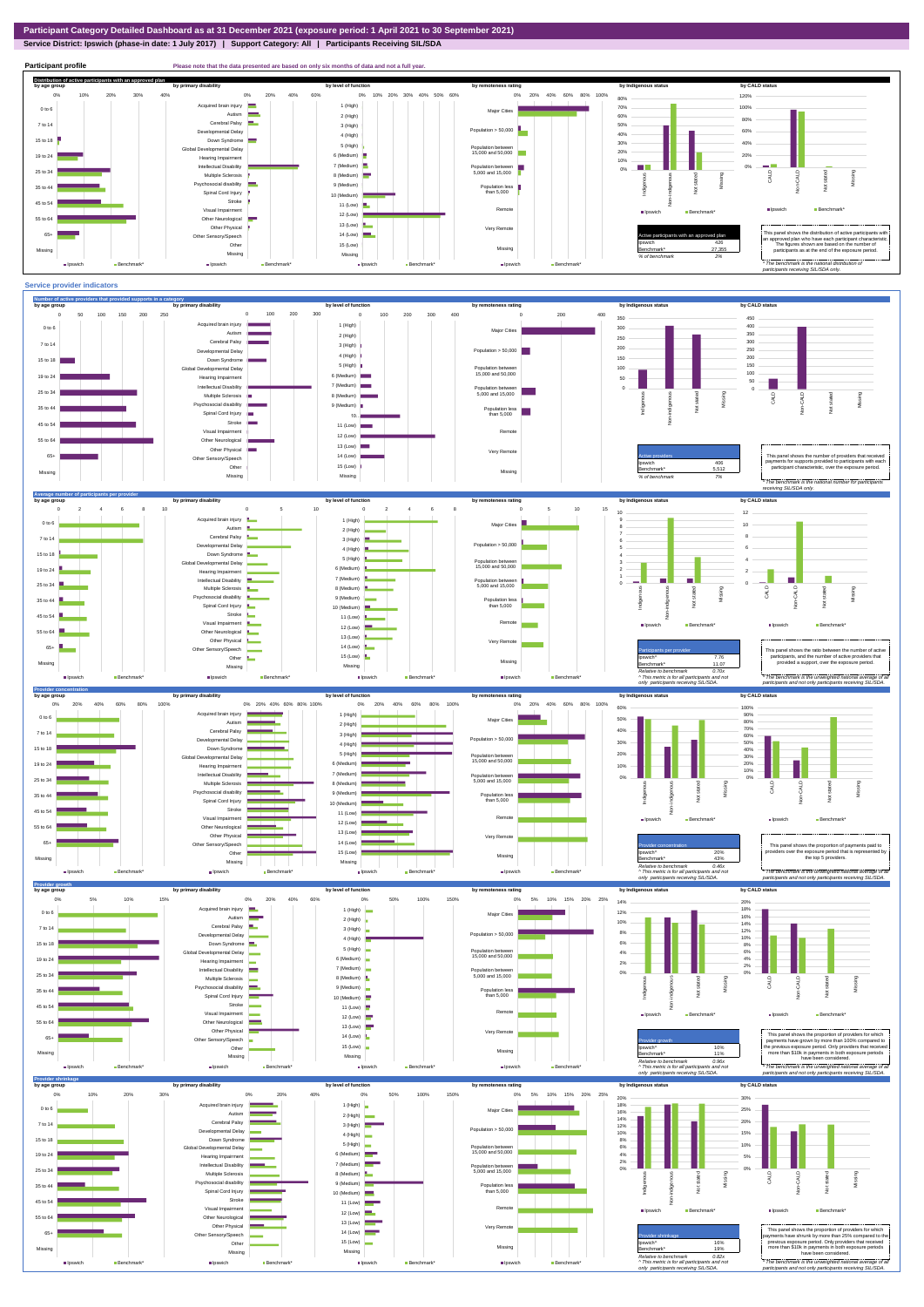**Service District: Ipswich (phase-in date: 1 July 2017) | Support Category: All | Participants Receiving SIL/SDA**



Very Re Missing

Other Neurological Other Physical Other Sensory/Speech Other Missing **III** Inswich **Benchmark** 

ш,

Intellectual Disability





12 (Low) **12**  $13$  (Low) 14 (Low)  $\blacksquare$  $15$  (Low) Missing **Belowich** 



Ipswich Benchmark\*

55 to 64 65+ Missing

Ipswich **Benchmark\***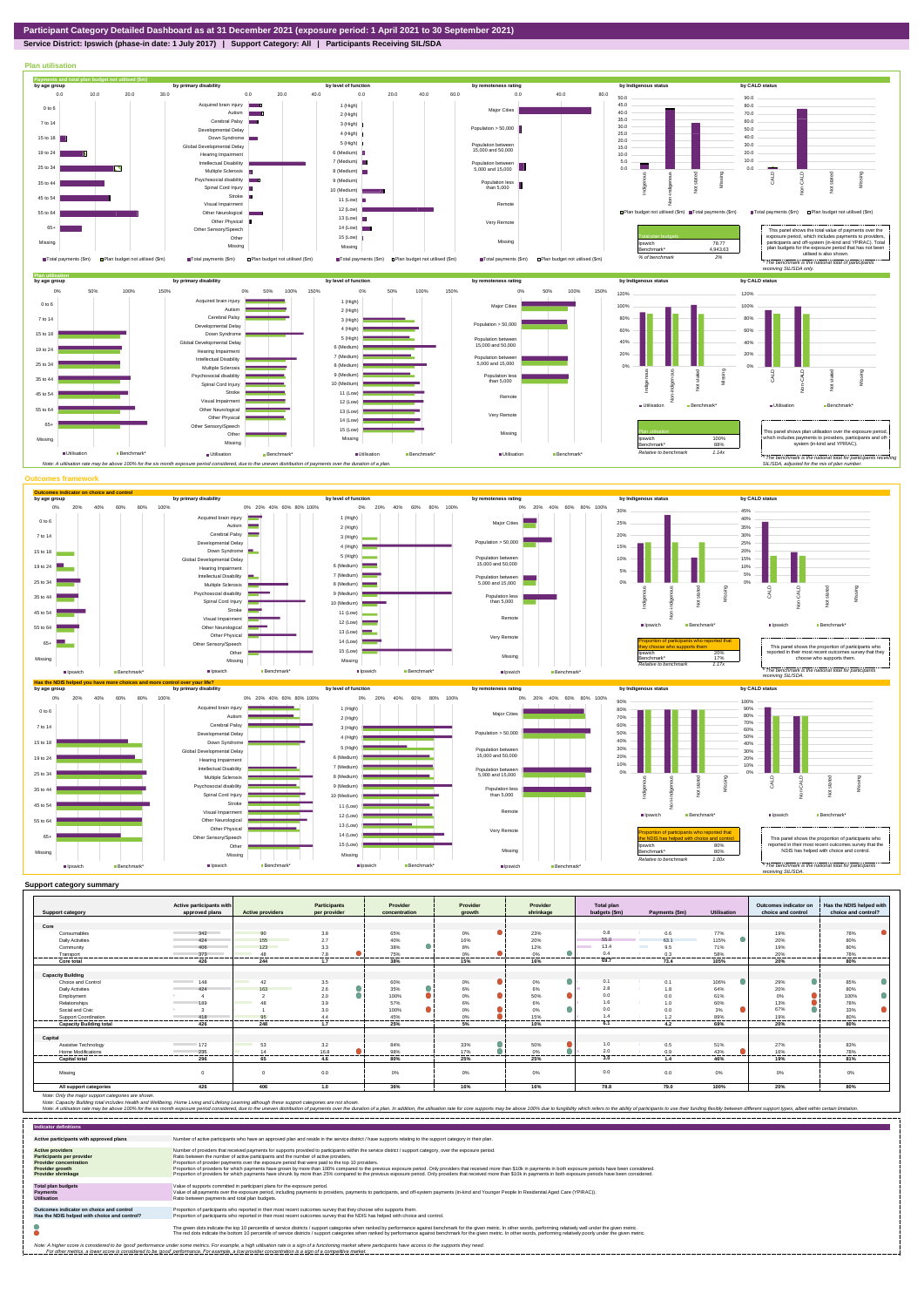## **Service District: Ipswich (phase-in date: 1 July 2017) | Support Category: All | Participants Receiving SIL/SDA**



|                                | Active participants with          |                         | <b>Participants</b> | Provider      | Provider      | Provider             | <b>Total plan</b> |                                          |                | Outcomes indicator on | Has the NDIS helped with |
|--------------------------------|-----------------------------------|-------------------------|---------------------|---------------|---------------|----------------------|-------------------|------------------------------------------|----------------|-----------------------|--------------------------|
| <b>Support category</b>        | approved plans                    | <b>Active providers</b> | per provider        | concentration | growth        | shrinkage            | budgets (\$m)     | Payments (\$m)                           | Utilisation    | choice and control    | choice and control?      |
|                                |                                   |                         |                     |               |               |                      |                   |                                          |                |                       |                          |
| Core                           |                                   |                         |                     |               |               |                      | 0.8               |                                          |                |                       |                          |
| Consumables                    | 342                               | 90                      | 3.8                 | 65%           | $0\%$         | 23%                  | 55.0              | 0.6                                      | 77%            | 19%                   | 78%                      |
| <b>Daily Activities</b>        | 424                               | 155                     | 2.7                 | 40%           | 16%           | 20%                  |                   | 63.1                                     | 115%           | 20%                   | 80%                      |
| Community                      | 406                               | 123                     | 3.3                 | 38%           | 8%            | 12%                  | 13.4              | <b>The College of the College</b><br>9.5 | 71%            | 19%                   | 80%                      |
| Transport                      | 373<br>------------------------   | 48<br>                  | 7.8<br>.            | 75%<br>.      | 0%<br>        | 0%<br>---------<br>. | 0.4<br>           | 0.3<br>----------                        | 58%<br>------- | 20%<br>               | 78%<br>                  |
| Core total                     | 426                               | 244                     | 1.7                 | 38%           | 15%           | 16%                  | 69.               | 73.4                                     | 105%           | 20%                   | 80%                      |
|                                |                                   |                         |                     |               |               |                      |                   |                                          |                |                       |                          |
| <b>Capacity Building</b>       |                                   |                         |                     |               |               |                      |                   |                                          |                |                       |                          |
| Choice and Control             | 148                               | 42                      | 3.5                 | 60%           | 0%            | 0%                   | 0.1               | 0.1                                      | 106%           | $\bullet$<br>29%      | 85%<br>o                 |
| <b>Daily Activities</b>        | 424                               | 163                     | 2.6                 | 35%           | 6%            | 6%                   | 2.8               | 1.8                                      | 64%            | 20%                   | 80%                      |
| Employment                     |                                   |                         | 2.0                 | 100%          | ۰<br>0%       | 50%                  | 0.0               | 0.0                                      | 61%            | 0%                    | 100%                     |
| Relationships                  | 189                               |                         | 3.9                 | 57%           | 6%            | 6%                   | 1.6               | 1.0                                      | 60%            | 13%                   | 78%                      |
| Social and Civic               |                                   |                         | 3.0                 | 100%          | 0%            | 0%                   | 0.0               | 0.0                                      | 3%             | 67%                   | 33%                      |
| Support Coordination           | 418                               | 95                      | 4.4                 | 45%           | 0%            | 15%                  | 1.4               | 1.2                                      | 89%            | 19%                   | 80%                      |
| <b>Capacity Building total</b> | ----------<br>426                 | <br>248                 | -------<br>1.7      | 25%           | -------<br>5% | .<br>10%             | 6.1               | <br>4.2                                  | 69%            | 20%                   | ----------<br>80%        |
| Capital                        |                                   |                         |                     |               |               |                      |                   |                                          |                |                       |                          |
|                                | <b>Contract Contract Contract</b> |                         |                     |               |               |                      | 1.0               |                                          |                |                       |                          |
| Assistive Technology           | 172                               | 53                      | 3.2                 | 84%           | 33%           | 50%                  |                   | 0.5                                      | 51%            | 27%                   | 83%                      |
| Home Modifications             | 235<br>.                          | 14                      | 16.8                | 98%           | 17%           | 0%                   | 2.0               | 0.9                                      | 43%            | 16%                   | 78%                      |
| <b>Capital total</b>           | 296                               | 65                      | 4.6                 | 80%           | 25%           | 25%                  | 3.0               | 1.4                                      | 46%            | 19%                   | 81%                      |
| Missing                        | $\sqrt{2}$                        | $\Omega$                | 0.0                 | 0%            | 0%            | 0%                   | 0.0               | 0.0                                      | $0\%$          | 0%                    | $0\%$                    |
| All support categories         | 426                               | 406                     | 1.0                 | 36%           | 16%           | 16%                  | 78.8              | 79.0                                     | 100%           | 20%                   | 80%                      |

Note: Only the major support categories are shown.<br>Note: Capacity Building total individual Wellbeing, Home Living and Lifelong Learning although these support categories are not shown.<br>Note: A utilisation rate may be abov

| <b>Indicator definitions</b>                                                                                                                        |                                                                                                                                                                                                                                                                                                                                                                                                                                                                                                                                                                                                                                                                                                                                                                                                                 |
|-----------------------------------------------------------------------------------------------------------------------------------------------------|-----------------------------------------------------------------------------------------------------------------------------------------------------------------------------------------------------------------------------------------------------------------------------------------------------------------------------------------------------------------------------------------------------------------------------------------------------------------------------------------------------------------------------------------------------------------------------------------------------------------------------------------------------------------------------------------------------------------------------------------------------------------------------------------------------------------|
| Active participants with approved plans                                                                                                             | Number of active participants who have an approved plan and reside in the service district / have supports relating to the support category in their plan.                                                                                                                                                                                                                                                                                                                                                                                                                                                                                                                                                                                                                                                      |
| <b>Active providers</b><br><b>Participants per provider</b><br><b>Provider concentration</b><br><b>Provider growth</b><br><b>Provider shrinkage</b> | Number of providers that received payments for supports provided to participants within the service district / support category, over the exposure period.<br>Ratio between the number of active participants and the number of active providers.<br>Proportion of provider payments over the exposure period that were paid to the top 10 providers.<br>Proportion of providers for which payments have grown by more than 100% compared to the previous exposure period. Only providers that received more than \$10k in payments in both exposure periods have been considered.<br>Proportion of providers for which payments have shrunk by more than 25% compared to the previous exposure period. Only providers that received more than \$10k in payments in both exposure periods have been considered. |
| <b>Total plan budgets</b><br><b>Payments</b><br><b>Utilisation</b>                                                                                  | Value of supports committed in participant plans for the exposure period.<br>Value of all payments over the exposure period, including payments to providers, payments to participants, and off-system payments (in-kind and Younger People In Residential Aged Care (YPIRAC)).<br>Ratio between payments and total plan budgets.                                                                                                                                                                                                                                                                                                                                                                                                                                                                               |
| Outcomes indicator on choice and control<br>Has the NDIS helped with choice and control?                                                            | Proportion of participants who reported in their most recent outcomes survey that they choose who supports them.<br>Proportion of participants who reported in their most recent outcomes survey that the NDIS has helped with choice and control.                                                                                                                                                                                                                                                                                                                                                                                                                                                                                                                                                              |
|                                                                                                                                                     | The green dots indicate the top 10 percentile of service districts / support categories when ranked by performance against benchmark for the given metric. In other words, performing relatively well under the given metric.<br>The red dots indicate the bottom 10 percentile of service districts / support categories when ranked by performance against benchmark for the given metric. In other words, performing relatively poorly under the given metri                                                                                                                                                                                                                                                                                                                                                 |
|                                                                                                                                                     | Note: A higher score is considered to be 'good' performance under some metrics. For example, a high utilisation rate is a sign of a functioning market where participants have access to the supports they need.<br>For other metrics, a lower score is considered to be 'good' performance. For example, a low provider concentration is a sign of a competitive market.                                                                                                                                                                                                                                                                                                                                                                                                                                       |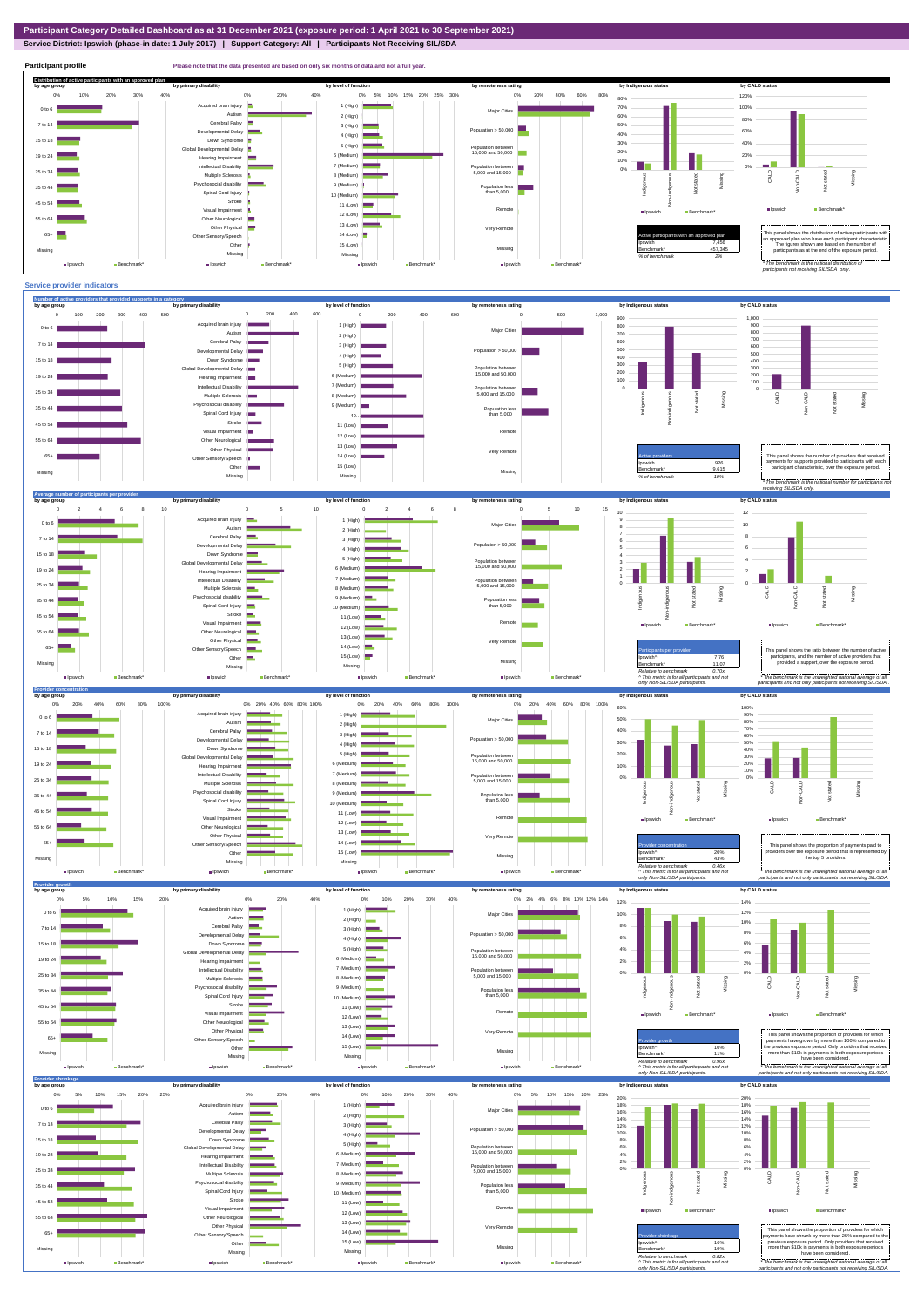**Service District: Ipswich (phase-in date: 1 July 2017) | Support Category: All | Participants Not Receiving SIL/SDA**